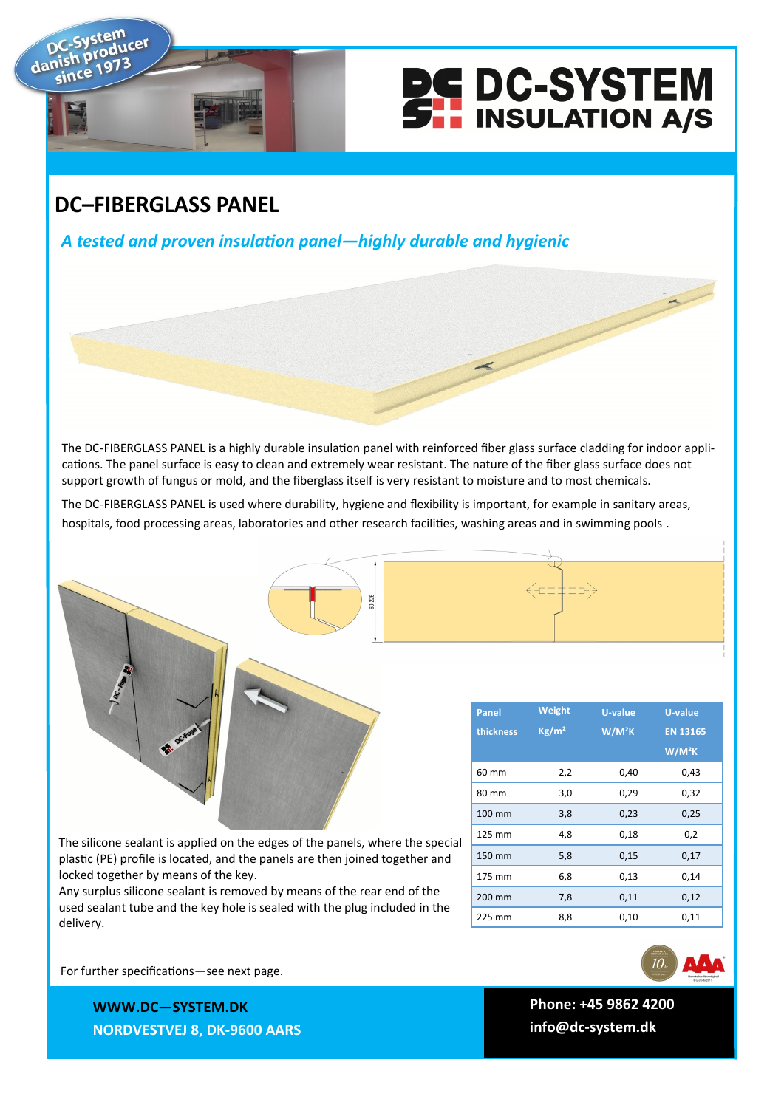

## **DC–FIBERGLASS PANEL**

ucer

danish

*A tested and proven insulation panel—highly durable and hygienic*

The DC-FIBERGLASS PANEL is a highly durable insulation panel with reinforced fiber glass surface cladding for indoor applications. The panel surface is easy to clean and extremely wear resistant. The nature of the fiber glass surface does not support growth of fungus or mold, and the fiberglass itself is very resistant to moisture and to most chemicals.

The DC-FIBERGLASS PANEL is used where durability, hygiene and flexibility is important, for example in sanitary areas, hospitals, food processing areas, laboratories and other research facilities, washing areas and in swimming pools .

| The silicone sealant is applied on the edges of the panels, where the special |
|-------------------------------------------------------------------------------|
| plastic (PE) profile is located, and the panels are then joined together and  |
| locked together by means of the key.                                          |

Any surplus silicone sealant is removed by means of the rear end of the used sealant tube and the key hole is sealed with the plug included in the delivery.

| <b>Panel</b> | Weight            | U-value  | U-value         |
|--------------|-------------------|----------|-----------------|
| thickness    | Kg/m <sup>2</sup> | $W/M^2K$ | <b>EN 13165</b> |
|              |                   |          | $W/M^2K$        |
| 60 mm        | 2,2               | 0,40     | 0,43            |
| 80 mm        | 3,0               | 0,29     | 0,32            |
| 100 mm       | 3,8               | 0,23     | 0,25            |
| 125 mm       | 4,8               | 0,18     | 0,2             |
| 150 mm       | 5,8               | 0,15     | 0,17            |
| 175 mm       | 6,8               | 0,13     | 0,14            |
| 200 mm       | 7,8               | 0,11     | 0,12            |
| 225 mm       | 8,8               | 0,10     | 0,11            |

**Panel Weight** 



For further specifications—see next page.

**WW.DC—SYSTEM.DK WWW.DC—SYSTEM.DK NORDVESTVEJ 8, 9600 AARS NORDVESTVEJ 8, DK-9600 AARS**

**TLF: +45 9862 4200 Phone: +45 9862 4200 E-MAIL: DC-SYSTEM@DC-SYSTEM.DK info@dc-system.dk**